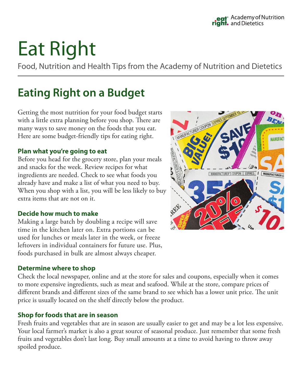# Eat Right

Food, Nutrition and Health Tips from the Academy of Nutrition and Dietetics

## **Eating Right on a Budget**

Getting the most nutrition for your food budget starts with a little extra planning before you shop. There are many ways to save money on the foods that you eat. Here are some budget-friendly tips for eating right.

### **Plan what you're going to eat**

Before you head for the grocery store, plan your meals and snacks for the week. Review recipes for what ingredients are needed. Check to see what foods you already have and make a list of what you need to buy. When you shop with a list, you will be less likely to buy extra items that are not on it.

#### **Decide how much to make**

Making a large batch by doubling a recipe will save time in the kitchen later on. Extra portions can be used for lunches or meals later in the week, or freeze leftovers in individual containers for future use. Plus, foods purchased in bulk are almost always cheaper.

#### **Determine where to shop**

Check the local newspaper, online and at the store for sales and coupons, especially when it comes to more expensive ingredients, such as meat and seafood. While at the store, compare prices of different brands and different sizes of the same brand to see which has a lower unit price. The unit price is usually located on the shelf directly below the product.

#### **Shop for foods that are in season**

Fresh fruits and vegetables that are in season are usually easier to get and may be a lot less expensive. Your local farmer's market is also a great source of seasonal produce. Just remember that some fresh fruits and vegetables don't last long. Buy small amounts at a time to avoid having to throw away spoiled produce.